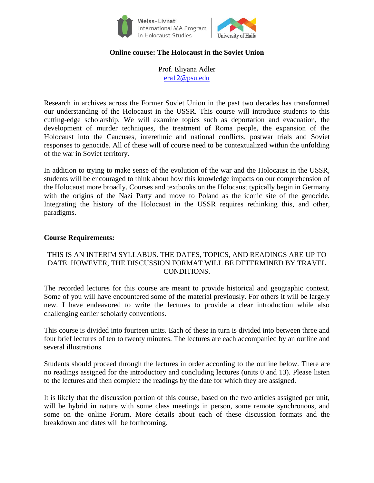

## **Online course: The Holocaust in the Soviet Union**

Prof. Eliyana Adler [era12@psu.edu](mailto:era12@psu.edu)

Research in archives across the Former Soviet Union in the past two decades has transformed our understanding of the Holocaust in the USSR. This course will introduce students to this cutting-edge scholarship. We will examine topics such as deportation and evacuation, the development of murder techniques, the treatment of Roma people, the expansion of the Holocaust into the Caucuses, interethnic and national conflicts, postwar trials and Soviet responses to genocide. All of these will of course need to be contextualized within the unfolding of the war in Soviet territory.

In addition to trying to make sense of the evolution of the war and the Holocaust in the USSR, students will be encouraged to think about how this knowledge impacts on our comprehension of the Holocaust more broadly. Courses and textbooks on the Holocaust typically begin in Germany with the origins of the Nazi Party and move to Poland as the iconic site of the genocide. Integrating the history of the Holocaust in the USSR requires rethinking this, and other, paradigms.

#### **Course Requirements:**

## THIS IS AN INTERIM SYLLABUS. THE DATES, TOPICS, AND READINGS ARE UP TO DATE. HOWEVER, THE DISCUSSION FORMAT WILL BE DETERMINED BY TRAVEL CONDITIONS.

The recorded lectures for this course are meant to provide historical and geographic context. Some of you will have encountered some of the material previously. For others it will be largely new. I have endeavored to write the lectures to provide a clear introduction while also challenging earlier scholarly conventions.

This course is divided into fourteen units. Each of these in turn is divided into between three and four brief lectures of ten to twenty minutes. The lectures are each accompanied by an outline and several illustrations.

Students should proceed through the lectures in order according to the outline below. There are no readings assigned for the introductory and concluding lectures (units 0 and 13). Please listen to the lectures and then complete the readings by the date for which they are assigned.

It is likely that the discussion portion of this course, based on the two articles assigned per unit, will be hybrid in nature with some class meetings in person, some remote synchronous, and some on the online Forum. More details about each of these discussion formats and the breakdown and dates will be forthcoming.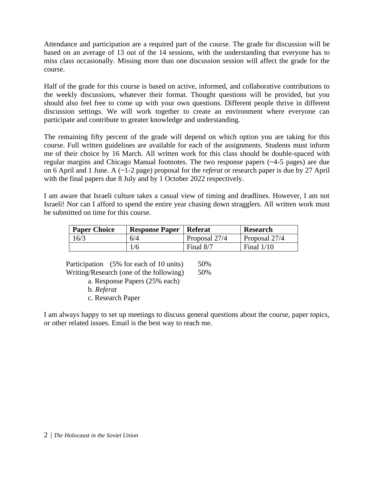Attendance and participation are a required part of the course. The grade for discussion will be based on an average of 13 out of the 14 sessions, with the understanding that everyone has to miss class occasionally. Missing more than one discussion session will affect the grade for the course.

Half of the grade for this course is based on active, informed, and collaborative contributions to the weekly discussions, whatever their format. Thought questions will be provided, but you should also feel free to come up with your own questions. Different people thrive in different discussion settings. We will work together to create an environment where everyone can participate and contribute to greater knowledge and understanding.

The remaining fifty percent of the grade will depend on which option you are taking for this course. Full written guidelines are available for each of the assignments. Students must inform me of their choice by 16 March. All written work for this class should be double-spaced with regular margins and Chicago Manual footnotes. The two response papers (~4-5 pages) are due on 6 April and 1 June. A (~1-2 page) proposal for the *referat* or research paper is due by 27 April with the final papers due 8 July and by 1 October 2022 respectively.

I am aware that Israeli culture takes a casual view of timing and deadlines. However, I am not Israeli! Nor can I afford to spend the entire year chasing down stragglers. All written work must be submitted on time for this course.

| <b>Paper Choice</b> | <b>Response Paper   Referat</b> |               | <b>Research</b> |
|---------------------|---------------------------------|---------------|-----------------|
| 16/3                | 6/4                             | Proposal 27/4 | Proposal 27/4   |
|                     | 1/6                             | Final $8/7$   | Final $1/10$    |

Participation (5% for each of 10 units) 50% Writing/Research (one of the following) 50%

a. Response Papers (25% each)

b. *Referat*

c. Research Paper

I am always happy to set up meetings to discuss general questions about the course, paper topics, or other related issues. Email is the best way to reach me.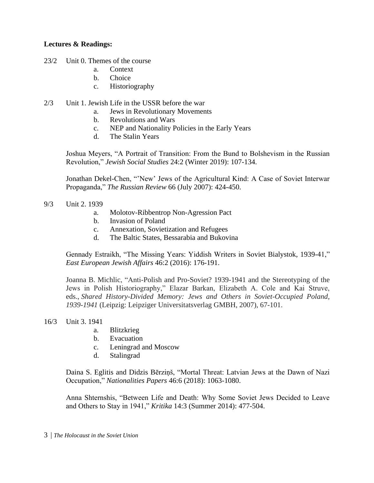## **Lectures & Readings:**

23/2 Unit 0. Themes of the course

- a. Context
- b. Choice
- c. Historiography
- 2/3 Unit 1. Jewish Life in the USSR before the war
	- a. Jews in Revolutionary Movements
	- b. Revolutions and Wars
	- c. NEP and Nationality Policies in the Early Years
	- d. The Stalin Years

Joshua Meyers, "A Portrait of Transition: From the Bund to Bolshevism in the Russian Revolution," *Jewish Social Studies* 24:2 (Winter 2019): 107-134.

Jonathan Dekel-Chen, "'New' Jews of the Agricultural Kind: A Case of Soviet Interwar Propaganda," *The Russian Review* 66 (July 2007): 424-450.

- 9/3 Unit 2. 1939
	- a. Molotov-Ribbentrop Non-Agression Pact
	- b. Invasion of Poland
	- c. Annexation, Sovietization and Refugees
	- d. The Baltic States, Bessarabia and Bukovina

Gennady Estraikh, "The Missing Years: Yiddish Writers in Soviet Bialystok, 1939-41," *East European Jewish Affairs* 46:2 (2016): 176-191.

Joanna B. Michlic, "Anti-Polish and Pro-Soviet? 1939-1941 and the Stereotyping of the Jews in Polish Historiography," Elazar Barkan, Elizabeth A. Cole and Kai Struve, eds., *Shared History-Divided Memory: Jews and Others in Soviet-Occupied Poland, 1939-1941* (Leipzig: Leipziger Universitatsverlag GMBH, 2007), 67-101.

- 16/3 Unit 3. 1941
	- a. Blitzkrieg
	- b. Evacuation
	- c. Leningrad and Moscow
	- d. Stalingrad

Daina S. Eglitis and Didzis Bērziņš, "Mortal Threat: Latvian Jews at the Dawn of Nazi Occupation," *Nationalities Papers* 46:6 (2018): 1063-1080.

Anna Shternshis, "Between Life and Death: Why Some Soviet Jews Decided to Leave and Others to Stay in 1941," *Kritika* 14:3 (Summer 2014): 477-504.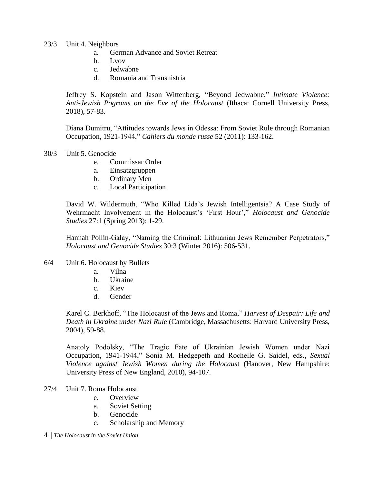#### 23/3 Unit 4. Neighbors

- a. German Advance and Soviet Retreat
- b. Lvov
- c. Jedwabne
- d. Romania and Transnistria

Jeffrey S. Kopstein and Jason Wittenberg, "Beyond Jedwabne," *Intimate Violence: Anti-Jewish Pogroms on the Eve of the Holocaust* (Ithaca: Cornell University Press, 2018), 57-83.

Diana Dumitru, "Attitudes towards Jews in Odessa: From Soviet Rule through Romanian Occupation, 1921-1944," *Cahiers du monde russe* 52 (2011): 133-162.

- 30/3 Unit 5. Genocide
	- e. Commissar Order
	- a. Einsatzgruppen
	- b. Ordinary Men
	- c. Local Participation

David W. Wildermuth, "Who Killed Lida's Jewish Intelligentsia? A Case Study of Wehrmacht Involvement in the Holocaust's 'First Hour'," *Holocaust and Genocide Studies* 27:1 (Spring 2013): 1-29.

Hannah Pollin-Galay, "Naming the Criminal: Lithuanian Jews Remember Perpetrators," *Holocaust and Genocide Studies* 30:3 (Winter 2016): 506-531.

- 6/4 Unit 6. Holocaust by Bullets
	- a. Vilna
	- b. Ukraine
	- c. Kiev
	- d. Gender

Karel C. Berkhoff, "The Holocaust of the Jews and Roma," *Harvest of Despair: Life and Death in Ukraine under Nazi Rule* (Cambridge, Massachusetts: Harvard University Press, 2004), 59-88.

Anatoly Podolsky, "The Tragic Fate of Ukrainian Jewish Women under Nazi Occupation, 1941-1944," Sonia M. Hedgepeth and Rochelle G. Saidel, eds., *Sexual Violence against Jewish Women during the Holocaus*t (Hanover, New Hampshire: University Press of New England, 2010), 94-107.

- 27/4 Unit 7. Roma Holocaust
	- e. Overview
	- a. Soviet Setting
	- b. Genocide
	- c. Scholarship and Memory
- 4 | *The Holocaust in the Soviet Union*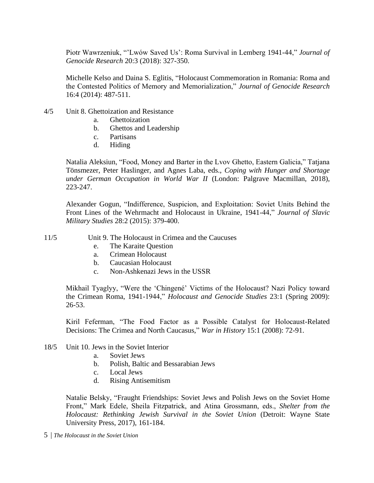Piotr Wawrzeniuk, "'Lwów Saved Us': Roma Survival in Lemberg 1941-44," *Journal of Genocide Research* 20:3 (2018): 327-350.

Michelle Kelso and Daina S. Eglitis, "Holocaust Commemoration in Romania: Roma and the Contested Politics of Memory and Memorialization," *Journal of Genocide Research* 16:4 (2014): 487-511.

- 4/5 Unit 8. Ghettoization and Resistance
	- a. Ghettoization
	- b. Ghettos and Leadership
	- c. Partisans
	- d. Hiding

Natalia Aleksiun, "Food, Money and Barter in the Lvov Ghetto, Eastern Galicia," Tatjana Tönsmezer, Peter Haslinger, and Agnes Laba, eds., *Coping with Hunger and Shortage under German Occupation in World War II* (London: Palgrave Macmillan, 2018), 223-247.

Alexander Gogun, "Indifference, Suspicion, and Exploitation: Soviet Units Behind the Front Lines of the Wehrmacht and Holocaust in Ukraine, 1941-44," *Journal of Slavic Military Studies* 28:2 (2015): 379-400.

### 11/5 Unit 9. The Holocaust in Crimea and the Caucuses

- e. The Karaite Question
- a. Crimean Holocaust
- b. Caucasian Holocaust
- c. Non-Ashkenazi Jews in the USSR

Mikhail Tyaglyy, "Were the 'Chingené' Victims of the Holocaust? Nazi Policy toward the Crimean Roma, 1941-1944," *Holocaust and Genocide Studies* 23:1 (Spring 2009): 26-53.

Kiril Feferman, "The Food Factor as a Possible Catalyst for Holocaust-Related Decisions: The Crimea and North Caucasus," *War in History* 15:1 (2008): 72-91.

- 18/5 Unit 10. Jews in the Soviet Interior
	- a. Soviet Jews
	- b. Polish, Baltic and Bessarabian Jews
	- c. Local Jews
	- d. Rising Antisemitism

Natalie Belsky, "Fraught Friendships: Soviet Jews and Polish Jews on the Soviet Home Front," Mark Edele, Sheila Fitzpatrick, and Atina Grossmann, eds., *Shelter from the Holocaust: Rethinking Jewish Survival in the Soviet Union* (Detroit: Wayne State University Press, 2017), 161-184.

5 | *The Holocaust in the Soviet Union*